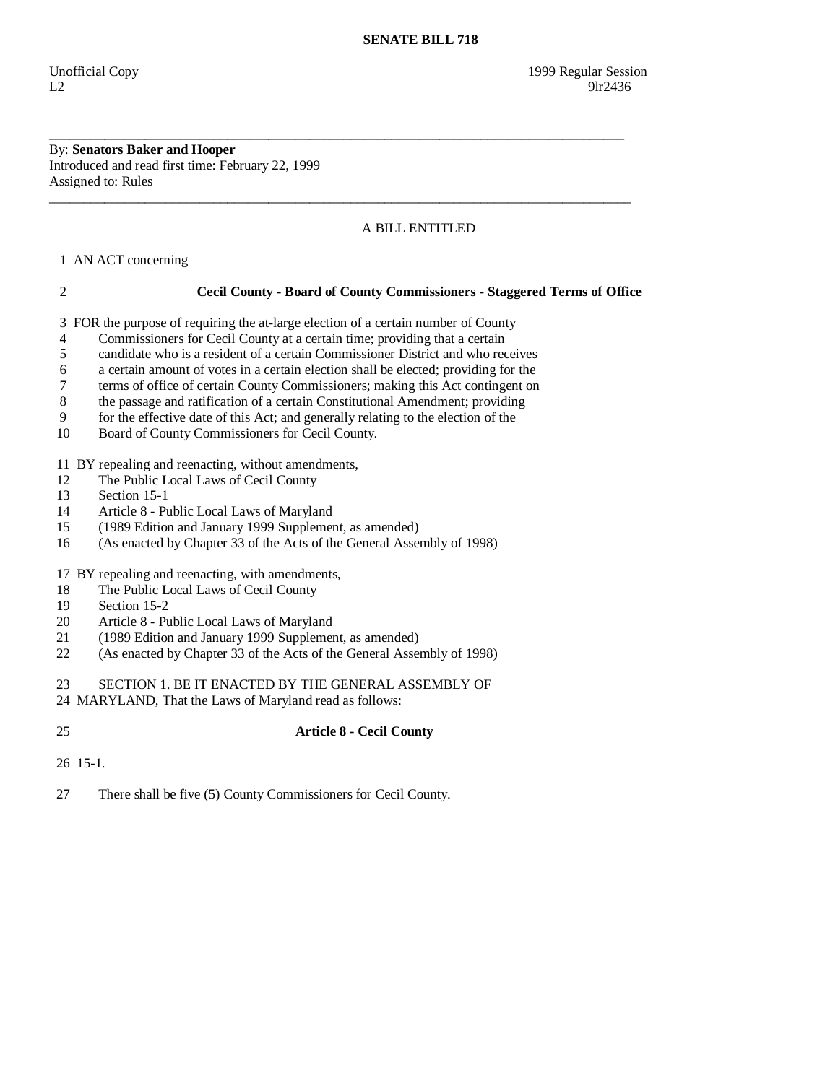By: **Senators Baker and Hooper**  Introduced and read first time: February 22, 1999 Assigned to: Rules

# A BILL ENTITLED

1 AN ACT concerning

## 2 **Cecil County - Board of County Commissioners - Staggered Terms of Office**

3 FOR the purpose of requiring the at-large election of a certain number of County

- 4 Commissioners for Cecil County at a certain time; providing that a certain
- 5 candidate who is a resident of a certain Commissioner District and who receives

\_\_\_\_\_\_\_\_\_\_\_\_\_\_\_\_\_\_\_\_\_\_\_\_\_\_\_\_\_\_\_\_\_\_\_\_\_\_\_\_\_\_\_\_\_\_\_\_\_\_\_\_\_\_\_\_\_\_\_\_\_\_\_\_\_\_\_\_\_\_\_\_\_\_\_\_\_\_\_\_\_\_\_\_

\_\_\_\_\_\_\_\_\_\_\_\_\_\_\_\_\_\_\_\_\_\_\_\_\_\_\_\_\_\_\_\_\_\_\_\_\_\_\_\_\_\_\_\_\_\_\_\_\_\_\_\_\_\_\_\_\_\_\_\_\_\_\_\_\_\_\_\_\_\_\_\_\_\_\_\_\_\_\_\_\_\_\_\_\_

- 6 a certain amount of votes in a certain election shall be elected; providing for the
- 7 terms of office of certain County Commissioners; making this Act contingent on
- 8 the passage and ratification of a certain Constitutional Amendment; providing
- 9 for the effective date of this Act; and generally relating to the election of the
- 10 Board of County Commissioners for Cecil County.

11 BY repealing and reenacting, without amendments,

- 12 The Public Local Laws of Cecil County
- 13 Section 15-1<br>14 Article 8 Pu
- Article 8 Public Local Laws of Maryland
- 15 (1989 Edition and January 1999 Supplement, as amended)
- 16 (As enacted by Chapter 33 of the Acts of the General Assembly of 1998)
- 17 BY repealing and reenacting, with amendments,
- 18 The Public Local Laws of Cecil County
- 19 Section 15-2
- 20 Article 8 Public Local Laws of Maryland
- 21 (1989 Edition and January 1999 Supplement, as amended)<br>22 (As enacted by Chapter 33 of the Acts of the General Asse
- (As enacted by Chapter 33 of the Acts of the General Assembly of 1998)
- 23 SECTION 1. BE IT ENACTED BY THE GENERAL ASSEMBLY OF
- 24 MARYLAND, That the Laws of Maryland read as follows:
- 25 **Article 8 Cecil County**
- 26 15-1.
- 27 There shall be five (5) County Commissioners for Cecil County.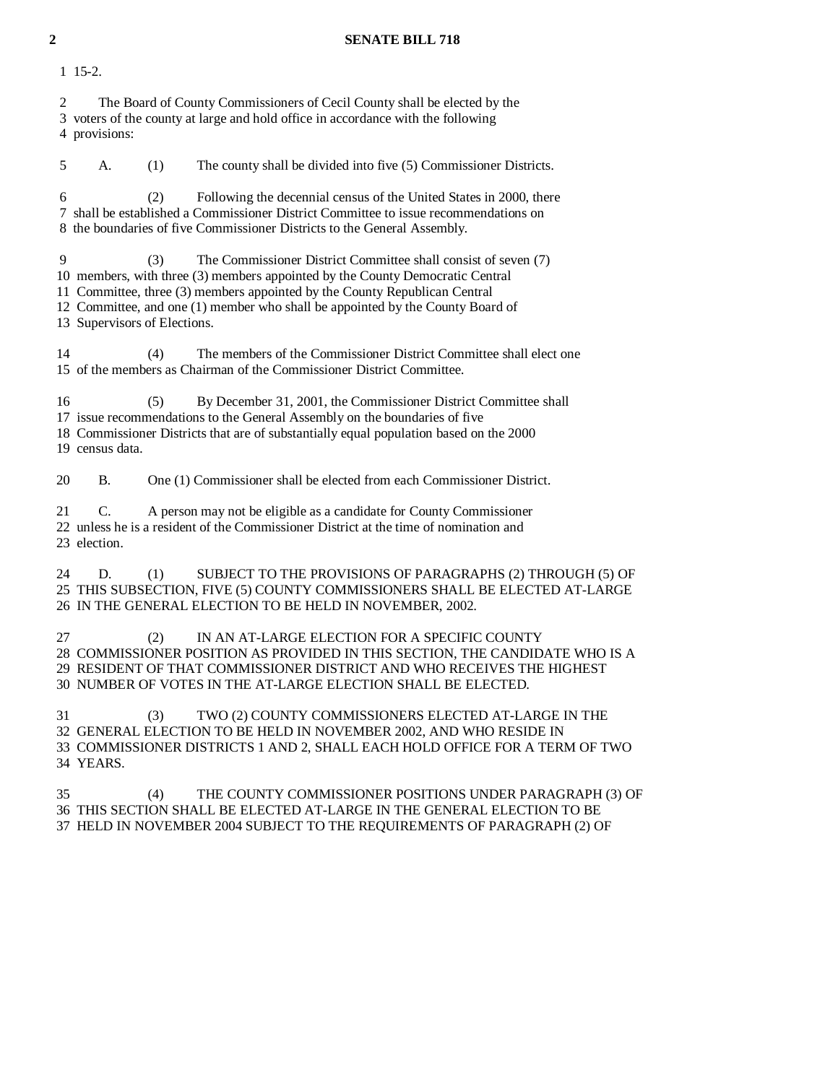### **2 SENATE BILL 718**

1 15-2.

 2 The Board of County Commissioners of Cecil County shall be elected by the 3 voters of the county at large and hold office in accordance with the following 4 provisions:

 5 A. (1) The county shall be divided into five (5) Commissioner Districts. 6 (2) Following the decennial census of the United States in 2000, there 7 shall be established a Commissioner District Committee to issue recommendations on 8 the boundaries of five Commissioner Districts to the General Assembly. 9 (3) The Commissioner District Committee shall consist of seven (7) 10 members, with three (3) members appointed by the County Democratic Central 11 Committee, three (3) members appointed by the County Republican Central 12 Committee, and one (1) member who shall be appointed by the County Board of 13 Supervisors of Elections. 14 (4) The members of the Commissioner District Committee shall elect one 15 of the members as Chairman of the Commissioner District Committee. 16 (5) By December 31, 2001, the Commissioner District Committee shall 17 issue recommendations to the General Assembly on the boundaries of five 18 Commissioner Districts that are of substantially equal population based on the 2000 19 census data. 20 B. One (1) Commissioner shall be elected from each Commissioner District.

 21 C. A person may not be eligible as a candidate for County Commissioner 22 unless he is a resident of the Commissioner District at the time of nomination and 23 election.

24 D. (1) SUBJECT TO THE PROVISIONS OF PARAGRAPHS (2) THROUGH (5) OF 25 THIS SUBSECTION, FIVE (5) COUNTY COMMISSIONERS SHALL BE ELECTED AT-LARGE 26 IN THE GENERAL ELECTION TO BE HELD IN NOVEMBER, 2002.

 27 (2) IN AN AT-LARGE ELECTION FOR A SPECIFIC COUNTY 28 COMMISSIONER POSITION AS PROVIDED IN THIS SECTION, THE CANDIDATE WHO IS A 29 RESIDENT OF THAT COMMISSIONER DISTRICT AND WHO RECEIVES THE HIGHEST 30 NUMBER OF VOTES IN THE AT-LARGE ELECTION SHALL BE ELECTED.

 31 (3) TWO (2) COUNTY COMMISSIONERS ELECTED AT-LARGE IN THE 32 GENERAL ELECTION TO BE HELD IN NOVEMBER 2002, AND WHO RESIDE IN 33 COMMISSIONER DISTRICTS 1 AND 2, SHALL EACH HOLD OFFICE FOR A TERM OF TWO 34 YEARS.

 35 (4) THE COUNTY COMMISSIONER POSITIONS UNDER PARAGRAPH (3) OF 36 THIS SECTION SHALL BE ELECTED AT-LARGE IN THE GENERAL ELECTION TO BE 37 HELD IN NOVEMBER 2004 SUBJECT TO THE REQUIREMENTS OF PARAGRAPH (2) OF